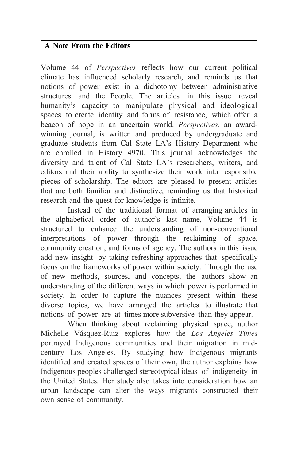## **A Note From the Editors**

Volume 44 of *Perspectives* reflects how our current political climate has influenced scholarly research, and reminds us that notions of power exist in a dichotomy between administrative structures and the People. The articles in this issue reveal humanity's capacity to manipulate physical and ideological spaces to create identity and forms of resistance, which offer a beacon of hope in an uncertain world. *Perspectives*, an awardwinning journal, is written and produced by undergraduate and graduate students from Cal State LA's History Department who are enrolled in History 4970. This journal acknowledges the diversity and talent of Cal State LA's researchers, writers, and editors and their ability to synthesize their work into responsible pieces of scholarship. The editors are pleased to present articles that are both familiar and distinctive, reminding us that historical research and the quest for knowledge is infinite.

Instead of the traditional format of arranging articles in the alphabetical order of author's last name, Volume 44 is structured to enhance the understanding of non-conventional interpretations of power through the reclaiming of space, community creation, and forms of agency. The authors in this issue add new insight by taking refreshing approaches that specifically focus on the frameworks of power within society. Through the use of new methods, sources, and concepts, the authors show an understanding of the different ways in which power is performed in society. In order to capture the nuances present within these diverse topics, we have arranged the articles to illustrate that notions of power are at times more subversive than they appear.

When thinking about reclaiming physical space, author Michelle Vásquez-Ruiz explores how the *Los Angeles Times* portrayed Indigenous communities and their migration in midcentury Los Angeles. By studying how Indigenous migrants identified and created spaces of their own, the author explains how Indigenous peoples challenged stereotypical ideas of indigeneity in the United States. Her study also takes into consideration how an urban landscape can alter the ways migrants constructed their own sense of community.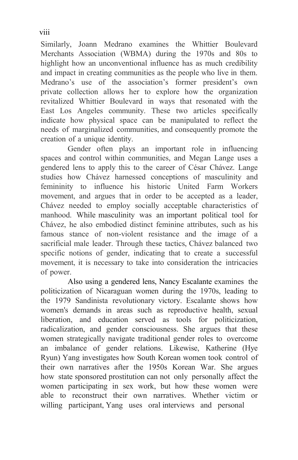Similarly, Joann Medrano examines the Whittier Boulevard Merchants Association (WBMA) during the 1970s and 80s to highlight how an unconventional influence has as much credibility and impact in creating communities as the people who live in them. Medrano's use of the association's former president's own private collection allows her to explore how the organization revitalized Whittier Boulevard in ways that resonated with the East Los Angeles community. These two articles specifically indicate how physical space can be manipulated to reflect the needs of marginalized communities, and consequently promote the creation of a unique identity.

Gender often plays an important role in influencing spaces and control within communities, and Megan Lange uses a gendered lens to apply this to the career of César Chávez. Lange studies how Chávez harnessed conceptions of masculinity and femininity to influence his historic United Farm Workers movement, and argues that in order to be accepted as a leader, Chávez needed to employ socially acceptable characteristics of manhood. While masculinity was an important political tool for Chávez, he also embodied distinct feminine attributes, such as his famous stance of non-violent resistance and the image of a sacrificial male leader. Through these tactics, Chávez balanced two specific notions of gender, indicating that to create a successful movement, it is necessary to take into consideration the intricacies of power.

Also using a gendered lens, Nancy Escalante examines the politicization of Nicaraguan women during the 1970s, leading to the 1979 Sandinista revolutionary victory. Escalante shows how women's demands in areas such as reproductive health, sexual liberation, and education served as tools for politicization, radicalization, and gender consciousness. She argues that these women strategically navigate traditional gender roles to overcome an imbalance of gender relations. Likewise, Katherine (Hye Ryun) Yang investigates how South Korean women took control of their own narratives after the 1950s Korean War. She argues how state sponsored prostitution can not only personally affect the women participating in sex work, but how these women were able to reconstruct their own narratives. Whether victim or willing participant, Yang uses oral interviews and personal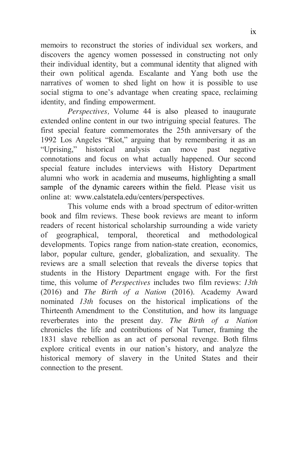memoirs to reconstruct the stories of individual sex workers, and discovers the agency women possessed in constructing not only their individual identity, but a communal identity that aligned with their own political agenda. Escalante and Yang both use the narratives of women to shed light on how it is possible to use social stigma to one's advantage when creating space, reclaiming identity, and finding empowerment.

*Perspectives,* Volume 44 is also pleased to inaugurate extended online content in our two intriguing special features. The first special feature commemorates the 25th anniversary of the 1992 Los Angeles "Riot," arguing that by remembering it as an "Uprising," historical analysis can move past negative connotations and focus on what actually happened. Our second special feature includes interviews with History Department alumni who work in academia and museums, highlighting a small sample of the dynamic careers within the field. Please visit us online at: [www.calstatela.edu/centers/perspectives.](http://www.calstatela.edu/centers/perspectives)

This volume ends with a broad spectrum of editor-written book and film reviews. These book reviews are meant to inform readers of recent historical scholarship surrounding a wide variety of geographical, temporal, theoretical and methodological developments. Topics range from nation-state creation, economics, labor, popular culture, gender, globalization, and sexuality. The reviews are a small selection that reveals the diverse topics that students in the History Department engage with. For the first time, this volume of *Perspectives* includes two film reviews: *13th*  (2016) and *The Birth of a Nation* (2016). Academy Award nominated *13th* focuses on the historical implications of the Thirteenth Amendment to the Constitution, and how its language reverberates into the present day. *The Birth of a Nation*  chronicles the life and contributions of Nat Turner, framing the 1831 slave rebellion as an act of personal revenge. Both films explore critical events in our nation's history, and analyze the historical memory of slavery in the United States and their connection to the present.